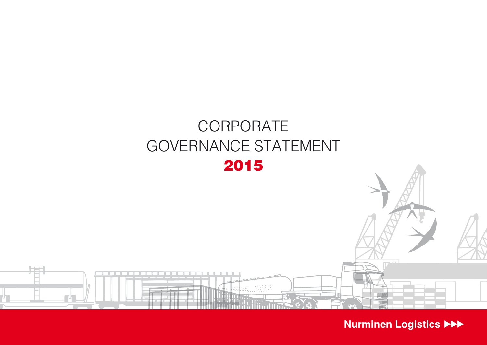

Nurminen Logistics >>>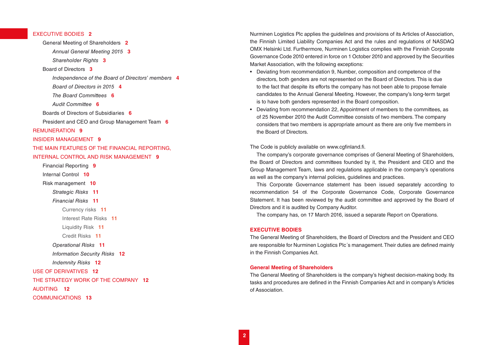# EXECUTIVE BODIES **2**

General Meeting of Shareholders **2** *[Annual General Meeting 2015](#page-2-0)* **3** *[Shareholder Rights](#page-2-0)* **3** [Board of Directors](#page-2-0) **3** *[Independence of the Board of Directors' members](#page-3-0)* **4** *[Board of Directors in 2015](#page-3-0)* **4** *[The Board Committees](#page-5-0)* **6** *[Audit Committee](#page-5-0)* **6** [Boards of Directors of Subsidiaries](#page-5-0) **6** [President and CEO and Group Management Team](#page-5-0) **6** [REMUNERATION](#page-8-0) **9** [INSIDER MANAGEMENT](#page-8-0) **9** [THE MAIN FEATURES OF THE FINANCIAL REPORTING,](#page-8-0)  [INTERNAL CONTROL AND RISK MANAGEMENT](#page-8-0) **9** [Financial Reporting](#page-8-0) **9** [Internal Control](#page-9-0) **10** [Risk management](#page-9-0) **10** *[Strategic Risks](#page-10-0)* **11** *[Financial Risks](#page-10-0)* **11** [Currency risks](#page-10-0) **11** [Interest Rate Risks](#page-10-0) **11** [Liquidity Risk](#page-10-0) **11** [Credit Risks](#page-10-0) **11** *[Operational Risks](#page-10-0)* **11** *[Information Security Risks](#page-11-0)* **12** *[Indemnity Risks](#page-11-0)* **12** [USE OF DERIVATIVES](#page-11-0) **12** [THE STRATEGY WORK OF THE COMPANY](#page-11-0) **12** [AUDITING](#page-11-0) **12** [COMMUNICATIONS](#page-12-0) **13**

Nurminen Logistics Plc applies the guidelines and provisions of its Articles of Association, the Finnish Limited Liability Companies Act and the rules and regulations of NASDAQ OMX Helsinki Ltd. Furthermore, Nurminen Logistics complies with the Finnish Corporate Governance Code 2010 entered in force on 1 October 2010 and approved by the Securities Market Association, with the following exceptions:

- Deviating from recommendation 9, Number, composition and competence of the directors, both genders are not represented on the Board of Directors. This is due to the fact that despite its efforts the company has not been able to propose female candidates to the Annual General Meeting. However, the company's long-term target is to have both genders represented in the Board composition.
- Deviating from recommendation 22, Appointment of members to the committees, as of 25 November 2010 the Audit Committee consists of two members. The company considers that two members is appropriate amount as there are only five members in the Board of Directors.

## The Code is publicly available on www.cgfinland.fi.

The company's corporate governance comprises of General Meeting of Shareholders, the Board of Directors and committees founded by it, the President and CEO and the Group Management Team, laws and regulations applicable in the company's operations as well as the company's internal policies, guidelines and practices.

This Corporate Governance statement has been issued separately according to recommendation 54 of the Corporate Governance Code, Corporate Governance Statement. It has been reviewed by the audit committee and approved by the Board of Directors and it is audited by Company Auditor.

The company has, on 17 March 2016, issued a separate Report on Operations.

### **EXECUTIVE BODIES**

The General Meeting of Shareholders, the Board of Directors and the President and CEO are responsible for Nurminen Logistics Plc´s management. Their duties are defined mainly in the Finnish Companies Act.

### **General Meeting of Shareholders**

The General Meeting of Shareholders is the company's highest decision-making body. Its tasks and procedures are defined in the Finnish Companies Act and in company's Articles of Association.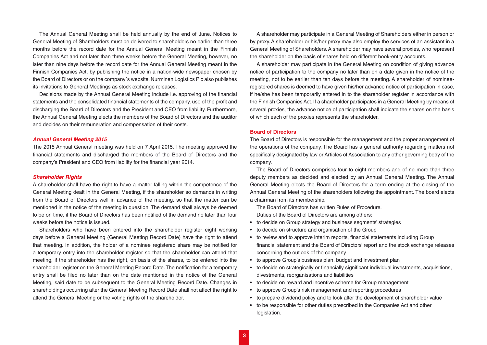<span id="page-2-0"></span>The Annual General Meeting shall be held annually by the end of June. Notices to General Meeting of Shareholders must be delivered to shareholders no earlier than three months before the record date for the Annual General Meeting meant in the Finnish Companies Act and not later than three weeks before the General Meeting, however, no later than nine days before the record date for the Annual General Meeting meant in the Finnish Companies Act, by publishing the notice in a nation-wide newspaper chosen by the Board of Directors or on the company´s website. Nurminen Logistics Plc also publishes its invitations to General Meetings as stock exchange releases.

Decisions made by the Annual General Meeting include i.e. approving of the financial statements and the consolidated financial statements of the company, use of the profit and discharging the Board of Directors and the President and CEO from liability. Furthermore, the Annual General Meeting elects the members of the Board of Directors and the auditor and decides on their remuneration and compensation of their costs.

#### *Annual General Meeting 2015*

The 2015 Annual General meeting was held on 7 April 2015. The meeting approved the financial statements and discharged the members of the Board of Directors and the company's President and CEO from liability for the financial year 2014.

### *Shareholder Rights*

A shareholder shall have the right to have a matter falling within the competence of the General Meeting dealt in the General Meeting, if the shareholder so demands in writing from the Board of Directors well in advance of the meeting, so that the matter can be mentioned in the notice of the meeting in question. The demand shall always be deemed to be on time, if the Board of Directors has been notified of the demand no later than four weeks before the notice is issued.

Shareholders who have been entered into the shareholder register eight working days before a General Meeting (General Meeting Record Date) have the right to attend that meeting. In addition, the holder of a nominee registered share may be notified for a temporary entry into the shareholder register so that the shareholder can attend that meeting, if the shareholder has the right, on basis of the shares, to be entered into the shareholder register on the General Meeting Record Date. The notification for a temporary entry shall be filed no later than on the date mentioned in the notice of the General Meeting, said date to be subsequent to the General Meeting Record Date. Changes in shareholdings occurring after the General Meeting Record Date shall not affect the right to attend the General Meeting or the voting rights of the shareholder.

A shareholder may participate in a General Meeting of Shareholders either in person or by proxy. A shareholder or his/her proxy may also employ the services of an assistant in a General Meeting of Shareholders. A shareholder may have several proxies, who represent the shareholder on the basis of shares held on different book-entry accounts.

A shareholder may participate in the General Meeting on condition of giving advance notice of participation to the company no later than on a date given in the notice of the meeting, not to be earlier than ten days before the meeting. A shareholder of nomineeregistered shares is deemed to have given his/her advance notice of participation in case, if he/she has been temporarily entered in to the shareholder register in accordance with the Finnish Companies Act. If a shareholder participates in a General Meeting by means of several proxies, the advance notice of participation shall indicate the shares on the basis of which each of the proxies represents the shareholder.

### **Board of Directors**

The Board of Directors is responsible for the management and the proper arrangement of the operations of the company. The Board has a general authority regarding matters not specifically designated by law or Articles of Association to any other governing body of the company.

The Board of Directors comprises four to eight members and of no more than three deputy members as decided and elected by an Annual General Meeting. The Annual General Meeting elects the Board of Directors for a term ending at the closing of the Annual General Meeting of the shareholders following the appointment. The board elects a chairman from its membership.

The Board of Directors has written Rules of Procedure. Duties of the Board of Directors are among others:

- to decide on Group strategy and business segments' strategies
- to decide on structure and organisation of the Group
- to review and to approve interim reports, financial statements including Group financial statement and the Board of Directors' report and the stock exchange releases concerning the outlook of the company
- to approve Group's business plan, budget and investment plan
- to decide on strategically or financially significant individual investments, acquisitions, divestments, reorganisations and liabilities
- to decide on reward and incentive scheme for Group management
- to approve Group's risk management and reporting procedures
- to prepare dividend policy and to look after the development of shareholder value
- to be responsible for other duties prescribed in the Companies Act and other legislation.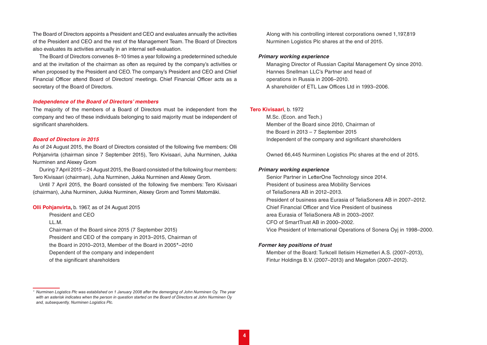<span id="page-3-0"></span>The Board of Directors appoints a President and CEO and evaluates annually the activities of the President and CEO and the rest of the Management Team. The Board of Directors also evaluates its activities annually in an internal self-evaluation.

The Board of Directors convenes 8–10 times a year following a predetermined schedule and at the invitation of the chairman as often as required by the company's activities or when proposed by the President and CEO. The company's President and CEO and Chief Financial Officer attend Board of Directors' meetings. Chief Financial Officer acts as a secretary of the Board of Directors.

#### *Independence of the Board of Directors' members*

The majority of the members of a Board of Directors must be independent from the company and two of these individuals belonging to said majority must be independent of significant shareholders.

### *Board of Directors in 2015*

As of 24 August 2015, the Board of Directors consisted of the following five members: Olli Pohjanvirta (chairman since 7 September 2015), Tero Kivisaari, Juha Nurminen, Jukka Nurminen and Alexey Grom

During 7 April 2015 – 24 August 2015, the Board consisted of the following four members: Tero Kivisaari (chairman), Juha Nurminen, Jukka Nurminen and Alexey Grom.

Until 7 April 2015, the Board consisted of the following five members: Tero Kivisaari (chairman), Juha Nurminen, Jukka Nurminen, Alexey Grom and Tommi Matomäki.

### **Olli Pohjanvirta,** b. 1967, as of 24 August 2015

President and CEO

LL.M.

Chairman of the Board since 2015 (7 September 2015) President and CEO of the company in 2013–2015, Chairman of the Board in 2010–2013, Member of the Board in 2005\*–2010 Dependent of the company and independent of the significant shareholders

Along with his controlling interest corporations owned 1,197,819 Nurminen Logistics Plc shares at the end of 2015.

### *Primary working experience*

Managing Director of Russian Capital Management Oy since 2010. Hannes Snellman LLC's Partner and head of operations in Russia in 2006–2010. A shareholder of ETL Law Offices Ltd in 1993–2006.

### **Tero Kivisaari**, b. 1972

M.Sc. (Econ. and Tech.) Member of the Board since 2010, Chairman of the Board in 2013 – 7 September 2015 Independent of the company and significant shareholders

Owned 66,445 Nurminen Logistics Plc shares at the end of 2015.

### *Primary working experience*

Senior Partner in LetterOne Technology since 2014. President of business area Mobility Services of TeliaSonera AB in 2012–2013. President of business area Eurasia of TeliaSonera AB in 2007–2012. Chief Financial Officer and Vice President of business area Eurasia of TeliaSonera AB in 2003–2007. CFO of SmartTrust AB in 2000–2002. Vice President of International Operations of Sonera Oyj in 1998–2000.

### *Former key positions of trust*

Member of the Board: Turkcell Iletisim Hizmetleri A.S. (2007–2013), Fintur Holdings B.V. (2007–2013) and Megafon (2007–2012).

*<sup>\*</sup> Nurminen Logistics Plc was established on 1 January 2008 after the demerging of John Nurminen Oy. The year with an asterisk indicates when the person in question started on the Board of Directors at John Nurminen Oy and, subsequently, Nurminen Logistics Plc.*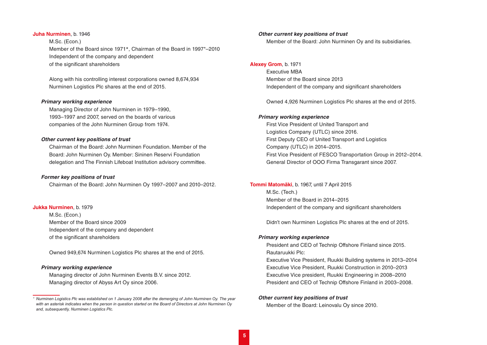# **Juha Nurminen**, b. 1946

M.Sc. (Econ.) Member of the Board since 1971\*, Chairman of the Board in 1997\*–2010 Independent of the company and dependent of the significant shareholders

Along with his controlling interest corporations owned 8,674,934 Nurminen Logistics Plc shares at the end of 2015.

### *Primary working experience*

Managing Director of John Nurminen in 1979–1990, 1993–1997 and 2007, served on the boards of various companies of the John Nurminen Group from 1974.

### *Other current key positions of trust*

Chairman of the Board: John Nurminen Foundation. Member of the Board: John Nurminen Oy. Member: Sininen Reservi Foundation delegation and The Finnish Lifeboat Institution advisory committee.

# *Former key positions of trust*

Chairman of the Board: John Nurminen Oy 1997–2007 and 2010–2012.

### **Jukka Nurminen**, b. 1979

M.Sc. (Econ.) Member of the Board since 2009 Independent of the company and dependent of the significant shareholders

Owned 949,674 Nurminen Logistics Plc shares at the end of 2015.

## *Primary working experience*

Managing director of John Nurminen Events B.V. since 2012. Managing director of Abyss Art Oy since 2006.

### *Other current key positions of trust*

Member of the Board: John Nurminen Oy and its subsidiaries.

# **Alexey Grom**, b. 1971

Executive MBA Member of the Board since 2013 Independent of the company and significant shareholders

Owned 4,926 Nurminen Logistics Plc shares at the end of 2015.

## *Primary working experience*

First Vice President of United Transport and Logistics Company (UTLC) since 2016. First Deputy CEO of United Transport and Logistics Company (UTLC) in 2014–2015. First Vice President of FESCO Transportation Group in 2012–2014. General Director of OOO Firma Transgarant since 2007.

#### **Tommi Matomäki**, b. 1967, until 7 April 2015

M.Sc. (Tech.) Member of the Board in 2014–2015 Independent of the company and significant shareholders

Didn't own Nurminen Logistics Plc shares at the end of 2015.

### *Primary working experience*

President and CEO of Technip Offshore Finland since 2015. Rautaruukki Plc: Executive Vice President, Ruukki Building systems in 2013–2014 Executive Vice President, Ruukki Construction in 2010–2013 Executive Vice president, Ruukki Engineering in 2008–2010 President and CEO of Technip Offshore Finland in 2003–2008.

# *Other current key positions of trust*

Member of the Board: Leinovalu Oy since 2010.

*<sup>\*</sup> Nurminen Logistics Plc was established on 1 January 2008 after the demerging of John Nurminen Oy. The year with an asterisk indicates when the person in question started on the Board of Directors at John Nurminen Oy and, subsequently, Nurminen Logistics Plc.*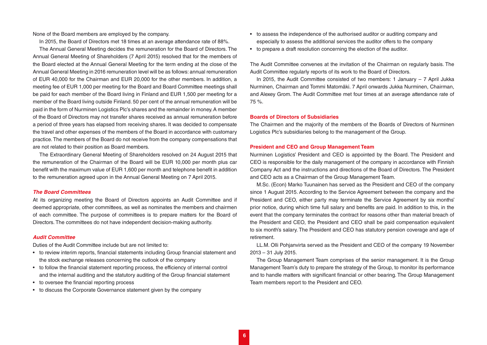<span id="page-5-0"></span>None of the Board members are employed by the company.

In 2015, the Board of Directors met 18 times at an average attendance rate of 88%.

The Annual General Meeting decides the remuneration for the Board of Directors. The Annual General Meeting of Shareholders (7 April 2015) resolved that for the members of the Board elected at the Annual General Meeting for the term ending at the close of the Annual General Meeting in 2016 remuneration level will be as follows: annual remuneration of EUR 40,000 for the Chairman and EUR 20,000 for the other members. In addition, a meeting fee of EUR 1,000 per meeting for the Board and Board Committee meetings shall be paid for each member of the Board living in Finland and EUR 1,500 per meeting for a member of the Board living outside Finland. 50 per cent of the annual remuneration will be paid in the form of Nurminen Logistics Plc's shares and the remainder in money. A member of the Board of Directors may not transfer shares received as annual remuneration before a period of three years has elapsed from receiving shares. It was decided to compensate the travel and other expenses of the members of the Board in accordance with customary practice. The members of the Board do not receive from the company compensations that are not related to their position as Board members.

The Extraordinary General Meeting of Shareholders resolved on 24 August 2015 that the remuneration of the Chairman of the Board will be EUR 10,000 per month plus car benefit with the maximum value of EUR 1,600 per month and telephone benefit in addition to the remuneration agreed upon in the Annual General Meeting on 7 April 2015.

### *The Board Committees*

At its organizing meeting the Board of Directors appoints an Audit Committee and if deemed appropriate, other committees, as well as nominates the members and chairmen of each committee. The purpose of committees is to prepare matters for the Board of Directors. The committees do not have independent decision-making authority.

### *Audit Committee*

Duties of the Audit Committee include but are not limited to:

- to review interim reports, financial statements including Group financial statement and the stock exchange releases concerning the outlook of the company
- to follow the financial statement reporting process, the efficiency of internal control and the internal auditing and the statutory auditing of the Group financial statement
- to oversee the financial reporting process
- to discuss the Corporate Governance statement given by the company
- to assess the independence of the authorised auditor or auditing company and especially to assess the additional services the auditor offers to the company
- to prepare a draft resolution concerning the election of the auditor.

The Audit Committee convenes at the invitation of the Chairman on regularly basis. The Audit Committee regularly reports of its work to the Board of Directors.

In 2015, the Audit Committee consisted of two members: 1 January  $-7$  April Jukka Nurminen, Chairman and Tommi Matomäki. 7 April onwards Jukka Nurminen, Chairman, and Alexey Grom. The Audit Committee met four times at an average attendance rate of 75 %.

# **Boards of Directors of Subsidiaries**

The Chairmen and the majority of the members of the Boards of Directors of Nurminen Logistics Plc's subsidiaries belong to the management of the Group.

### **President and CEO and Group Management Team**

Nurminen Logistics' President and CEO is appointed by the Board. The President and CEO is responsible for the daily management of the company in accordance with Finnish Company Act and the instructions and directions of the Board of Directors. The President and CEO acts as a Chairman of the Group Management Team.

M.Sc. (Econ) Marko Tuunainen has served as the President and CEO of the company since 1 August 2015. According to the Service Agreement between the company and the President and CEO, either party may terminate the Service Agreement by six months' prior notice, during which time full salary and benefits are paid. In addition to this, in the event that the company terminates the contract for reasons other than material breach of the President and CEO, the President and CEO shall be paid compensation equivalent to six month's salary. The President and CEO has statutory pension coverage and age of retirement.

LL.M. Olli Pohjanvirta served as the President and CEO of the company 19 November 2013 – 31 July 2015.

The Group Management Team comprises of the senior management. It is the Group Management Team's duty to prepare the strategy of the Group, to monitor its performance and to handle matters with significant financial or other bearing. The Group Management Team members report to the President and CEO.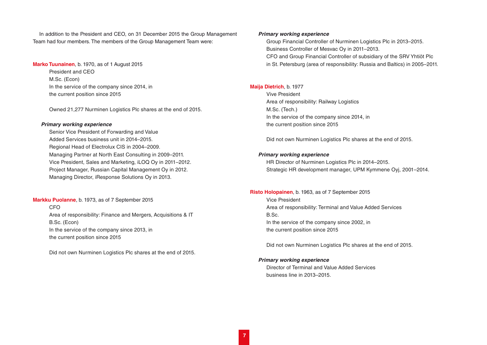In addition to the President and CEO, on 31 December 2015 the Group Management Team had four members. The members of the Group Management Team were:

### **Marko Tuunainen**, b. 1970, as of 1 August 2015

President and CEO M.Sc. (Econ) In the service of the company since 2014, in the current position since 2015

Owned 21,277 Nurminen Logistics Plc shares at the end of 2015.

### *Primary working experience*

Senior Vice President of Forwarding and Value Added Services business unit in 2014–2015. Regional Head of Electrolux CIS in 2004–2009. Managing Partner at North East Consulting in 2009–2011. Vice President, Sales and Marketing, iLOQ Oy in 2011–2012. Project Manager, Russian Capital Management Oy in 2012. Managing Director, iResponse Solutions Oy in 2013.

# **Markku Puolanne**, b. 1973, as of 7 September 2015

CFO Area of responsibility: Finance and Mergers, Acquisitions & IT B.Sc. (Econ) In the service of the company since 2013, in the current position since 2015

Did not own Nurminen Logistics Plc shares at the end of 2015.

# *Primary working experience*

Group Financial Controller of Nurminen Logistics Plc in 2013–2015. Business Controller of Mesvac Oy in 2011–2013. CFO and Group Financial Controller of subsidiary of the SRV Yhtiöt Plc in St. Petersburg (area of responsibility: Russia and Baltics) in 2005–2011.

# **Maija Dietrich**, b. 1977

Vive President Area of responsibility: Railway Logistics M.Sc. (Tech.) In the service of the company since 2014, in the current position since 2015

Did not own Nurminen Logistics Plc shares at the end of 2015.

# *Primary working experience*

HR Director of Nurminen Logistics Plc in 2014–2015. Strategic HR development manager, UPM Kymmene Oyj, 2001–2014.

# **Risto Holopainen**, b. 1963, as of 7 September 2015 Vice President

Area of responsibility: Terminal and Value Added Services B.Sc. In the service of the company since 2002, in

the current position since 2015

Did not own Nurminen Logistics Plc shares at the end of 2015.

# *Primary working experience*

Director of Terminal and Value Added Services business line in 2013–2015.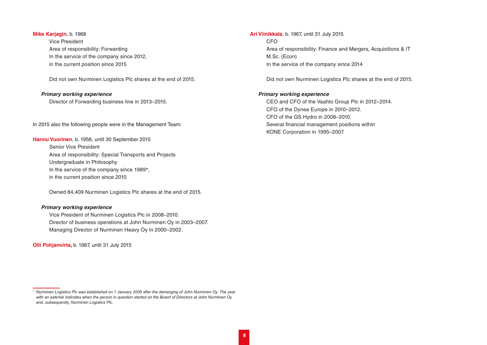### **Mike Karjagin**, b. 1968

Vice President Area of responsibility: Forwarding In the service of the company since 2012, in the current position since 2015

Did not own Nurminen Logistics Plc shares at the end of 2015.

### *Primary working experience*

Director of Forwarding business line in 2013–2015.

In 2015 also the following people were in the Management Team:

**Hannu Vuorinen**, b. 1956, until 30 September 2015 Senior Vice President Area of responsibility: Special Transports and Projects Undergraduate in Philosophy In the service of the company since 1989\*, in the current position since 2010

Owned 84,409 Nurminen Logistics Plc shares at the end of 2015.

## *Primary working experience*

Vice President of Nurminen Logistics Plc in 2008–2010. Director of business operations at John Nurminen Oy in 2003–2007. Managing Director of Nurminen Heavy Oy in 2000–2002.

**Olli Pohjanvirta,** b. 1967, until 31 July 2015

**Ari Viinikkala**, b. 1967, until 31 July 2015 CFO Area of responsibility: Finance and Mergers, Acquisitions & IT M.Sc. (Econ) In the service of the company since 2014

Did not own Nurminen Logistics Plc shares at the end of 2015.

### *Primary working experience*

CEO and CFO of the Vaahto Group Plc in 2012–2014. CFO of the Dynea Europe in 2010–2012. CFO of the GS Hydro in 2008–2010. Several financial management positions within KONE Corporation in 1995–2007.

*<sup>\*</sup> Nurminen Logistics Plc was established on 1 January 2008 after the demerging of John Nurminen Oy. The year with an asterisk indicates when the person in question started on the Board of Directors at John Nurminen Oy and, subsequently, Nurminen Logistics Plc.*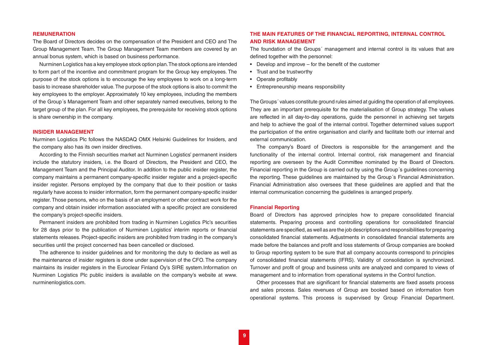### <span id="page-8-0"></span>**REMUNERATION**

The Board of Directors decides on the compensation of the President and CEO and The Group Management Team. The Group Management Team members are covered by an annual bonus system, which is based on business performance.

Nurminen Logistics has a key employee stock option plan. The stock options are intended to form part of the incentive and commitment program for the Group key employees. The purpose of the stock options is to encourage the key employees to work on a long-term basis to increase shareholder value. The purpose of the stock options is also to commit the key employees to the employer. Approximately 10 key employees, including the members of the Group´s Management Team and other separately named executives, belong to the target group of the plan. For all key employees, the prerequisite for receiving stock options is share ownership in the company.

#### **INSIDER MANAGEMENT**

Nurminen Logistics Plc follows the NASDAQ OMX Helsinki Guidelines for Insiders, and the company also has its own insider directives.

According to the Finnish securities market act Nurminen Logistics' permanent insiders include the statutory insiders, i.e. the Board of Directors, the President and CEO, the Management Team and the Principal Auditor. In addition to the public insider register, the company maintains a permanent company-specific insider register and a project-specific insider register. Persons employed by the company that due to their position or tasks regularly have access to insider information, form the permanent company-specific insider register. Those persons, who on the basis of an employment or other contract work for the company and obtain insider information associated with a specific project are considered the company's project-specific insiders.

Permanent insiders are prohibited from trading in Nurminen Logistics Plc's securities for 28 days prior to the publication of Nurminen Logistics' interim reports or financial statements releases. Project-specific insiders are prohibited from trading in the company's securities until the project concerned has been cancelled or disclosed.

The adherence to insider guidelines and for monitoring the duty to declare as well as the maintenance of insider registers is done under supervision of the CFO. The company maintains its insider registers in the Euroclear Finland Oy's SIRE system.Information on Nurminen Logistics Plc public insiders is available on the company's website at www. nurminenlogistics.com.

# **THE MAIN FEATURES OF THE FINANCIAL REPORTING, INTERNAL CONTROL AND RISK MANAGEMENT**

The foundation of the Groups´ management and internal control is its values that are defined together with the personnel:

- Develop and improve for the benefit of the customer
- Trust and be trustworthy
- Operate profitably
- Entrepreneurship means responsibility

The Groups´ values constitute ground rules aimed at guiding the operation of all employees. They are an important prerequisite for the materialisation of Group strategy. The values are reflected in all day-to-day operations, guide the personnel in achieving set targets and help to achieve the goal of the internal control. Together determined values support the participation of the entire organisation and clarify and facilitate both our internal and external communication.

The company's Board of Directors is responsible for the arrangement and the functionality of the internal control. Internal control, risk management and financial reporting are overseen by the Audit Committee nominated by the Board of Directors. Financial reporting in the Group is carried out by using the Group´s guidelines concerning the reporting. These guidelines are maintained by the Group´s Financial Administration. Financial Administration also oversees that these guidelines are applied and that the internal communication concerning the guidelines is arranged properly.

#### **Financial Reporting**

Board of Directors has approved principles how to prepare consolidated financial statements. Preparing process and controlling operations for consolidated financial statements are specified, as well as are the job descriptions and responsibilities for preparing consolidated financial statements. Adjustments in consolidated financial statements are made before the balances and profit and loss statements of Group companies are booked to Group reporting system to be sure that all company accounts correspond to principles of consolidated financial statements (IFRS). Validity of consolidation is synchronized. Turnover and profit of group and business units are analyzed and compared to views of management and to information from operational systems in the Control function.

Other processes that are significant for financial statements are fixed assets process and sales process. Sales revenues of Group are booked based on information from operational systems. This process is supervised by Group Financial Department.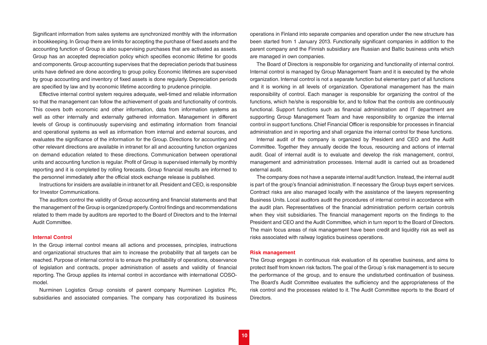<span id="page-9-0"></span>Significant information from sales systems are synchronized monthly with the information in bookkeeping. In Group there are limits for accepting the purchase of fixed assets and the accounting function of Group is also supervising purchases that are activated as assets. Group has an accepted depreciation policy which specifies economic lifetime for goods and components. Group accounting supervises that the depreciation periods that business units have defined are done according to group policy. Economic lifetimes are supervised by group accounting and inventory of fixed assets is done regularly. Depreciation periods are specified by law and by economic lifetime according to prudence principle.

Effective internal control system requires adequate, well-timed and reliable information so that the management can follow the achievement of goals and functionality of controls. This covers both economic and other information, data from information systems as well as other internally and externally gathered information. Management in different levels of Group is continuously supervising and estimating information from financial and operational systems as well as information from internal and external sources, and evaluates the significance of the information for the Group. Directions for accounting and other relevant directions are available in intranet for all and accounting function organizes on demand education related to these directions. Communication between operational units and accounting function is regular. Profit of Group is supervised internally by monthly reporting and it is completed by rolling forecasts. Group financial results are informed to the personnel immediately after the official stock exchange release is published.

Instructions for insiders are available in intranet for all. President and CEO, is responsible for Investor Communications.

The auditors control the validity of Group accounting and financial statements and that the management of the Group is organized properly. Control findings and recommendations related to them made by auditors are reported to the Board of Directors and to the Internal Audit Committee.

### **Internal Control**

In the Group internal control means all actions and processes, principles, instructions and organizational structures that aim to increase the probability that all targets can be reached. Purpose of internal control is to ensure the profitability of operations, observance of legislation and contracts, proper administration of assets and validity of financial reporting. The Group applies its internal control in accordance with international COSOmodel.

Nurminen Logistics Group consists of parent company Nurminen Logistics Plc, subsidiaries and associated companies. The company has corporatized its business operations in Finland into separate companies and operation under the new structure has been started from 1 January 2013. Functionally significant companies in addition to the parent company and the Finnish subsidiary are Russian and Baltic business units which are managed in own companies.

The Board of Directors is responsible for organizing and functionality of internal control. Internal control is managed by Group Management Team and it is executed by the whole organization. Internal control is not a separate function but elementary part of all functions and it is working in all levels of organization. Operational management has the main responsibility of control. Each manager is responsible for organizing the control of the functions, which he/she is responsible for, and to follow that the controls are continuously functional. Support functions such as financial administration and IT department are supporting Group Management Team and have responsibility to organize the internal control in support functions. Chief Financial Officer is responsible for processes in financial administration and in reporting and shall organize the internal control for these functions.

Internal audit of the company is organized by President and CEO and the Audit Committee. Together they annually decide the focus, resourcing and actions of internal audit. Goal of internal audit is to evaluate and develop the risk management, control, management and administration processes. Internal audit is carried out as broadened external audit.

The company does not have a separate internal audit function. Instead, the internal audit is part of the group's financial administration. If necessary the Group buys expert services. Contract risks are also managed locally with the assistance of the lawyers representing Business Units. Local auditors audit the procedures of internal control in accordance with the audit plan. Representatives of the financial administration perform certain controls when they visit subsidiaries. The financial management reports on the findings to the President and CEO and the Audit Committee, which in turn report to the Board of Directors. The main focus areas of risk management have been credit and liquidity risk as well as risks associated with railway logistics business operations.

### **Risk management**

The Group engages in continuous risk evaluation of its operative business, and aims to protect itself from known risk factors. The goal of the Group´s risk management is to secure the performance of the group, and to ensure the undisturbed continuation of business. The Board's Audit Committee evaluates the sufficiency and the appropriateness of the risk control and the processes related to it. The Audit Committee reports to the Board of Directors.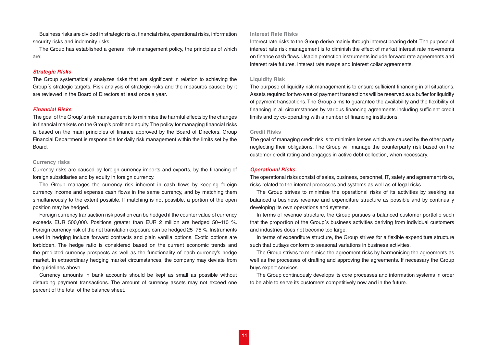<span id="page-10-0"></span>Business risks are divided in strategic risks, financial risks, operational risks, information security risks and indemnity risks.

The Group has established a general risk management policy, the principles of which are:

#### *Strategic Risks*

The Group systematically analyzes risks that are significant in relation to achieving the Group´s strategic targets. Risk analysis of strategic risks and the measures caused by it are reviewed in the Board of Directors at least once a year.

### *Financial Risks*

The goal of the Group´s risk management is to minimise the harmful effects by the changes in financial markets on the Group's profit and equity. The policy for managing financial risks is based on the main principles of finance approved by the Board of Directors. Group Financial Department is responsible for daily risk management within the limits set by the Board.

#### **Currency risks**

Currency risks are caused by foreign currency imports and exports, by the financing of foreign subsidiaries and by equity in foreign currency.

The Group manages the currency risk inherent in cash flows by keeping foreign currency income and expense cash flows in the same currency, and by matching them simultaneously to the extent possible. If matching is not possible, a portion of the open position may be hedged.

Foreign currency transaction risk position can be hedged if the counter value of currency exceeds EUR 500,000. Positions greater than EUR 2 million are hedged 50–110 %. Foreign currency risk of the net translation exposure can be hedged 25–75 %. Instruments used in hedging include forward contracts and plain vanilla options. Exotic options are forbidden. The hedge ratio is considered based on the current economic trends and the predicted currency prospects as well as the functionality of each currency's hedge market. In extraordinary hedging market circumstances, the company may deviate from the guidelines above.

Currency amounts in bank accounts should be kept as small as possible without disturbing payment transactions. The amount of currency assets may not exceed one percent of the total of the balance sheet.

# **Interest Rate Risks**

Interest rate risks to the Group derive mainly through interest bearing debt. The purpose of interest rate risk management is to diminish the effect of market interest rate movements on finance cash flows. Usable protection instruments include forward rate agreements and interest rate futures, interest rate swaps and interest collar agreements.

### **Liquidity Risk**

The purpose of liquidity risk management is to ensure sufficient financing in all situations. Assets required for two weeks' payment transactions will be reserved as a buffer for liquidity of payment transactions. The Group aims to guarantee the availability and the flexibility of financing in all circumstances by various financing agreements including sufficient credit limits and by co-operating with a number of financing institutions.

### **Credit Risks**

The goal of managing credit risk is to minimise losses which are caused by the other party neglecting their obligations. The Group will manage the counterparty risk based on the customer credit rating and engages in active debt-collection, when necessary.

### *Operational Risks*

The operational risks consist of sales, business, personnel, IT, safety and agreement risks, risks related to the internal processes and systems as well as of legal risks.

The Group strives to minimise the operational risks of its activities by seeking as balanced a business revenue and expenditure structure as possible and by continually developing its own operations and systems.

In terms of revenue structure, the Group pursues a balanced customer portfolio such that the proportion of the Group´s business activities deriving from individual customers and industries does not become too large.

In terms of expenditure structure, the Group strives for a flexible expenditure structure such that outlays conform to seasonal variations in business activities.

The Group strives to minimise the agreement risks by harmonising the agreements as well as the processes of drafting and approving the agreements. If necessary the Group buys expert services.

The Group continuously develops its core processes and information systems in order to be able to serve its customers competitively now and in the future.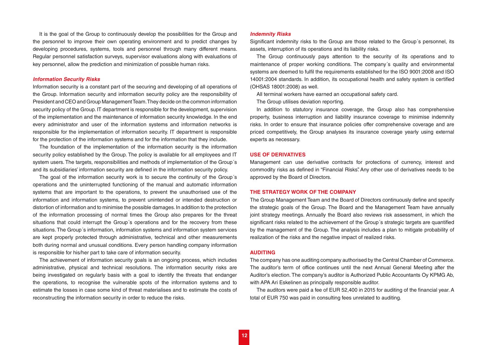<span id="page-11-0"></span>It is the goal of the Group to continuously develop the possibilities for the Group and the personnel to improve their own operating environment and to predict changes by developing procedures, systems, tools and personnel through many different means. Regular personnel satisfaction surveys, supervisor evaluations along with evaluations of key personnel, allow the prediction and minimization of possible human risks.

### *Information Security Risks*

Information security is a constant part of the securing and developing of all operations of the Group. Information security and information security policy are the responsibility of President and CEO and Group Management Team. They decide on the common information security policy of the Group. IT department is responsible for the development, supervision of the implementation and the maintenance of information security knowledge. In the end every administrator and user of the information systems and information networks is responsible for the implementation of information security. IT department is responsible for the protection of the information systems and for the information that they include.

The foundation of the implementation of the information security is the information security policy established by the Group. The policy is available for all employees and IT system users. The targets, responsibilities and methods of implementation of the Group´s and its subsidiaries' information security are defined in the information security policy.

The goal of the information security work is to secure the continuity of the Group´s operations and the uninterrupted functioning of the manual and automatic information systems that are important to the operations, to prevent the unauthorised use of the information and information systems, to prevent unintended or intended destruction or distortion of information and to minimise the possible damages. In addition to the protection of the information processing of normal times the Group also prepares for the threat situations that could interrupt the Group´s operations and for the recovery from these situations. The Group´s information, information systems and information system services are kept properly protected through administrative, technical and other measurements both during normal and unusual conditions. Every person handling company information is responsible for his/her part to take care of information security.

The achievement of information security goals is an ongoing process, which includes administrative, physical and technical resolutions. The information security risks are being investigated on regularly basis with a goal to identify the threats that endanger the operations, to recognise the vulnerable spots of the information systems and to estimate the losses in case some kind of threat materialises and to estimate the costs of reconstructing the information security in order to reduce the risks.

### *Indemnity Risks*

Significant indemnity risks to the Group are those related to the Group´s personnel, its assets, interruption of its operations and its liability risks.

The Group continuously pays attention to the security of its operations and to maintenance of proper working conditions. The company´s quality and environmental systems are deemed to fulfil the requirements established for the ISO 9001:2008 and ISO 14001:2004 standards. In addition, its occupational health and safety system is certified (OHSAS 18001:2008) as well.

All terminal workers have earned an occupational safety card.

The Group utilises deviation reporting.

In addition to statutory insurance coverage, the Group also has comprehensive property, business interruption and liability insurance coverage to minimise indemnity risks. In order to ensure that insurance policies offer comprehensive coverage and are priced competitively, the Group analyses its insurance coverage yearly using external experts as necessary.

#### **USE OF DERIVATIVES**

Management can use derivative contracts for protections of currency, interest and commodity risks as defined in "Financial Risks". Any other use of derivatives needs to be approved by the Board of Directors.

#### **THE STRATEGY WORK OF THE COMPANY**

The Group Management Team and the Board of Directors continuously define and specify the strategic goals of the Group. The Board and the Management Team have annually joint strategy meetings. Annually the Board also reviews risk assessment, in which the significant risks related to the achievement of the Group's strategic targets are quantified by the management of the Group. The analysis includes a plan to mitigate probability of realization of the risks and the negative impact of realized risks.

### **AUDITING**

The company has one auditing company authorised by the Central Chamber of Commerce. The auditor's term of office continues until the next Annual General Meeting after the Auditor's election. The company's auditor is Authorized Public Accountants Oy KPMG Ab, with APA Ari Eskelinen as principally responsible auditor.

The auditors were paid a fee of EUR 52,400 in 2015 for auditing of the financial year. A total of EUR 750 was paid in consulting fees unrelated to auditing.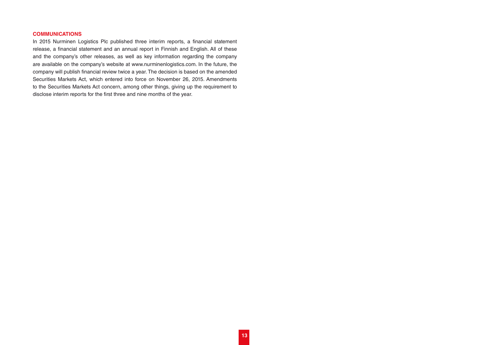# <span id="page-12-0"></span>**COMMUNICATIONS**

In 2015 Nurminen Logistics Plc published three interim reports, a financial statement release, a financial statement and an annual report in Finnish and English. All of these and the company's other releases, as well as key information regarding the company are available on the company's website at www.nurminenlogistics.com. In the future, the company will publish financial review twice a year. The decision is based on the amended Securities Markets Act, which entered into force on November 26, 2015. Amendments to the Securities Markets Act concern, among other things, giving up the requirement to disclose interim reports for the first three and nine months of the year.